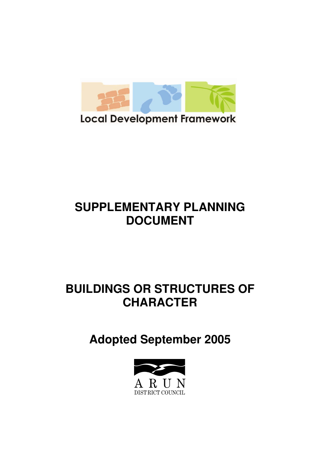

# **SUPPLEMENTARY PLANNING DOCUMENT**

# **BUILDINGS OR STRUCTURES OF CHARACTER**

**Adopted September 2005** 

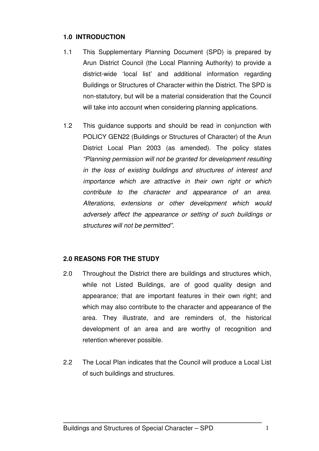#### **1.0 INTRODUCTION**

- 1.1 This Supplementary Planning Document (SPD) is prepared by Arun District Council (the Local Planning Authority) to provide a district-wide 'local list' and additional information regarding Buildings or Structures of Character within the District. The SPD is non-statutory, but will be a material consideration that the Council will take into account when considering planning applications.
- 1.2 This guidance supports and should be read in conjunction with POLICY GEN22 (Buildings or Structures of Character) of the Arun District Local Plan 2003 (as amended). The policy states "Planning permission will not be granted for development resulting in the loss of existing buildings and structures of interest and importance which are attractive in their own right or which contribute to the character and appearance of an area. Alterations, extensions or other development which would adversely affect the appearance or setting of such buildings or structures will not be permitted".

#### **2.0 REASONS FOR THE STUDY**

- 2.0 Throughout the District there are buildings and structures which, while not Listed Buildings, are of good quality design and appearance; that are important features in their own right; and which may also contribute to the character and appearance of the area. They illustrate, and are reminders of, the historical development of an area and are worthy of recognition and retention wherever possible.
- 2.2 The Local Plan indicates that the Council will produce a Local List of such buildings and structures.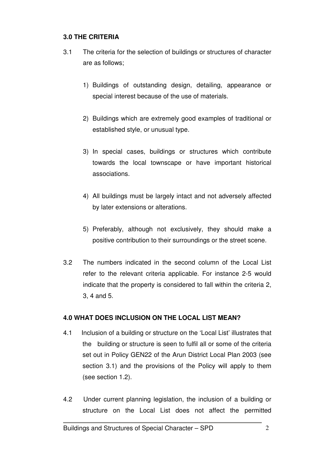#### **3.0 THE CRITERIA**

- 3.1 The criteria for the selection of buildings or structures of character are as follows;
	- 1) Buildings of outstanding design, detailing, appearance or special interest because of the use of materials.
	- 2) Buildings which are extremely good examples of traditional or established style, or unusual type.
	- 3) In special cases, buildings or structures which contribute towards the local townscape or have important historical associations.
	- 4) All buildings must be largely intact and not adversely affected by later extensions or alterations.
	- 5) Preferably, although not exclusively, they should make a positive contribution to their surroundings or the street scene.
- 3.2 The numbers indicated in the second column of the Local List refer to the relevant criteria applicable. For instance 2-5 would indicate that the property is considered to fall within the criteria 2, 3, 4 and 5.

#### **4.0 WHAT DOES INCLUSION ON THE LOCAL LIST MEAN?**

- 4.1 Inclusion of a building or structure on the 'Local List' illustrates that the building or structure is seen to fulfil all or some of the criteria set out in Policy GEN22 of the Arun District Local Plan 2003 (see section 3.1) and the provisions of the Policy will apply to them (see section 1.2).
- 4.2Under current planning legislation, the inclusion of a building or structure on the Local List does not affect the permitted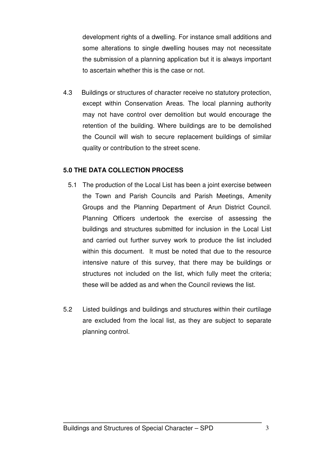development rights of a dwelling. For instance small additions and some alterations to single dwelling houses may not necessitate the submission of a planning application but it is always important to ascertain whether this is the case or not.

4.3 Buildings or structures of character receive no statutory protection, except within Conservation Areas. The local planning authority may not have control over demolition but would encourage the retention of the building. Where buildings are to be demolished the Council will wish to secure replacement buildings of similar quality or contribution to the street scene.

#### **5.0 THE DATA COLLECTION PROCESS**

- 5.1 The production of the Local List has been a joint exercise between the Town and Parish Councils and Parish Meetings, Amenity Groups and the Planning Department of Arun District Council. Planning Officers undertook the exercise of assessing the buildings and structures submitted for inclusion in the Local List and carried out further survey work to produce the list included within this document. It must be noted that due to the resource intensive nature of this survey, that there may be buildings or structures not included on the list, which fully meet the criteria; these will be added as and when the Council reviews the list.
- 5.2 Listed buildings and buildings and structures within their curtilage are excluded from the local list, as they are subject to separate planning control.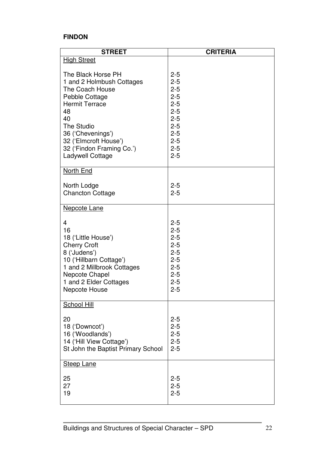### **FINDON**

| <b>STREET</b>                                                                                                                                                                                                                                 | <b>CRITERIA</b>                                                                                                                  |
|-----------------------------------------------------------------------------------------------------------------------------------------------------------------------------------------------------------------------------------------------|----------------------------------------------------------------------------------------------------------------------------------|
| <b>High Street</b>                                                                                                                                                                                                                            |                                                                                                                                  |
| The Black Horse PH<br>1 and 2 Holmbush Cottages<br>The Coach House<br>Pebble Cottage<br><b>Hermit Terrace</b><br>48<br>40<br><b>The Studio</b><br>36 ('Chevenings')<br>32 ('Elmcroft House')<br>32 ('Findon Framing Co.')<br>Ladywell Cottage | $2 - 5$<br>$2 - 5$<br>$2 - 5$<br>$2 - 5$<br>$2 - 5$<br>$2 - 5$<br>$2 - 5$<br>$2 - 5$<br>$2 - 5$<br>$2 - 5$<br>$2 - 5$<br>$2 - 5$ |
| North End                                                                                                                                                                                                                                     |                                                                                                                                  |
| North Lodge<br><b>Chancton Cottage</b>                                                                                                                                                                                                        | $2 - 5$<br>$2 - 5$                                                                                                               |
| <b>Nepcote Lane</b>                                                                                                                                                                                                                           |                                                                                                                                  |
| $\overline{4}$<br>16<br>18 ('Little House')<br><b>Cherry Croft</b><br>8 ('Judens')<br>10 ('Hillbarn Cottage')<br>1 and 2 Millbrook Cottages<br>Nepcote Chapel<br>1 and 2 Elder Cottages<br><b>Nepcote House</b>                               | $2 - 5$<br>$2 - 5$<br>$2 - 5$<br>$2 - 5$<br>$2 - 5$<br>$2 - 5$<br>$2 - 5$<br>$2 - 5$<br>$2 - 5$<br>$2 - 5$                       |
| <b>School Hill</b>                                                                                                                                                                                                                            |                                                                                                                                  |
| 20<br>18 ('Downcot')<br>16 ('Woodlands')<br>14 ('Hill View Cottage')<br>St John the Baptist Primary School                                                                                                                                    | $2 - 5$<br>$2 - 5$<br>$2 - 5$<br>$2 - 5$<br>$2 - 5$                                                                              |
| <b>Steep Lane</b><br>25<br>27<br>19                                                                                                                                                                                                           | $2 - 5$<br>$2 - 5$<br>$2 - 5$                                                                                                    |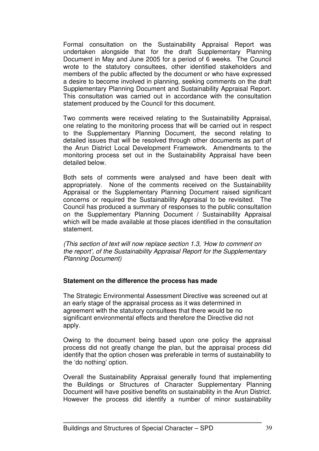Formal consultation on the Sustainability Appraisal Report was undertaken alongside that for the draft Supplementary Planning Document in May and June 2005 for a period of 6 weeks. The Council wrote to the statutory consultees, other identified stakeholders and members of the public affected by the document or who have expressed a desire to become involved in planning, seeking comments on the draft Supplementary Planning Document and Sustainability Appraisal Report. This consultation was carried out in accordance with the consultation statement produced by the Council for this document.

Two comments were received relating to the Sustainability Appraisal, one relating to the monitoring process that will be carried out in respect to the Supplementary Planning Document, the second relating to detailed issues that will be resolved through other documents as part of the Arun District Local Development Framework. Amendments to the monitoring process set out in the Sustainability Appraisal have been detailed below.

Both sets of comments were analysed and have been dealt with appropriately. None of the comments received on the Sustainability Appraisal or the Supplementary Planning Document raised significant concerns or required the Sustainability Appraisal to be revisited. The Council has produced a summary of responses to the public consultation on the Supplementary Planning Document / Sustainability Appraisal which will be made available at those places identified in the consultation statement.

(This section of text will now replace section 1.3, 'How to comment on the report', of the Sustainability Appraisal Report for the Supplementary Planning Document)

#### **Statement on the difference the process has made**

The Strategic Environmental Assessment Directive was screened out at an early stage of the appraisal process as it was determined in agreement with the statutory consultees that there would be no significant environmental effects and therefore the Directive did not apply.

Owing to the document being based upon one policy the appraisal process did not greatly change the plan, but the appraisal process did identify that the option chosen was preferable in terms of sustainability to the 'do nothing' option.

Overall the Sustainability Appraisal generally found that implementing the Buildings or Structures of Character Supplementary Planning Document will have positive benefits on sustainability in the Arun District. However the process did identify a number of minor sustainability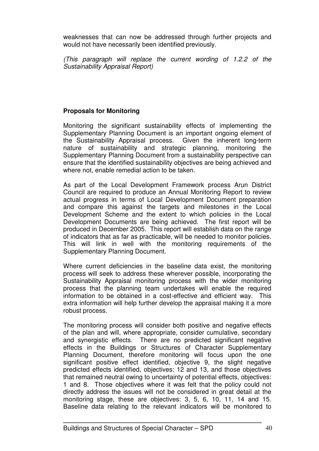weaknesses that can now be addressed through further projects and would not have necessarily been identified previously.

(This paragraph will replace the current wording of 1.2.2 of the Sustainability Appraisal Report)

#### **Proposals for Monitoring**

Monitoring the significant sustainability effects of implementing the Supplementary Planning Document is an important ongoing element of the Sustainability Appraisal process. Given the inherent long-term nature of sustainability and strategic planning, monitoring the Supplementary Planning Document from a sustainability perspective can ensure that the identified sustainability objectives are being achieved and where not, enable remedial action to be taken.

As part of the Local Development Framework process Arun District Council are required to produce an Annual Monitoring Report to review actual progress in terms of Local Development Document preparation and compare this against the targets and milestones in the Local Development Scheme and the extent to which policies in the Local Development Documents are being achieved. The first report will be produced in December 2005. This report will establish data on the range of indicators that as far as practicable, will be needed to monitor policies. This will link in well with the monitoring requirements of the Supplementary Planning Document.

Where current deficiencies in the baseline data exist, the monitoring process will seek to address these wherever possible, incorporating the Sustainability Appraisal monitoring process with the wider monitoring process that the planning team undertakes will enable the required information to be obtained in a cost-effective and efficient way. This extra information will help further develop the appraisal making it a more robust process.

The monitoring process will consider both positive and negative effects of the plan and will, where appropriate, consider cumulative, secondary and synergistic effects. There are no predicted significant negative effects in the Buildings or Structures of Character Supplementary Planning Document, therefore monitoring will focus upon the one significant positive effect identified, objective 9, the slight negative predicted effects identified, objectives: 12 and 13, and those objectives that remained neutral owing to uncertainty of potential effects, objectives: 1 and 8. Those objectives where it was felt that the policy could not directly address the issues will not be considered in great detail at the monitoring stage, these are objectives: 3, 5, 6, 10, 11, 14 and 15. Baseline data relating to the relevant indicators will be monitored to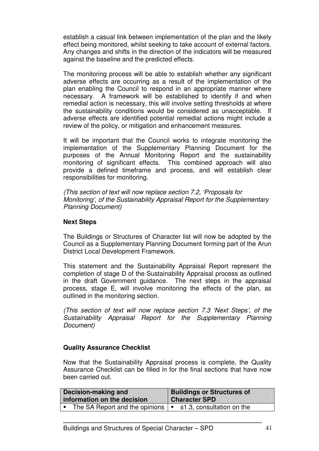establish a casual link between implementation of the plan and the likely effect being monitored, whilst seeking to take account of external factors. Any changes and shifts in the direction of the indicators will be measured against the baseline and the predicted effects.

The monitoring process will be able to establish whether any significant adverse effects are occurring as a result of the implementation of the plan enabling the Council to respond in an appropriate manner where necessary. A framework will be established to identify if and when remedial action is necessary, this will involve setting thresholds at where the sustainability conditions would be considered as unacceptable. If adverse effects are identified potential remedial actions might include a review of the policy, or mitigation and enhancement measures.

It will be important that the Council works to integrate monitoring the implementation of the Supplementary Planning Document for the purposes of the Annual Monitoring Report and the sustainability monitoring of significant effects. This combined approach will also provide a defined timeframe and process, and will establish clear responsibilities for monitoring.

(This section of text will now replace section 7.2, 'Proposals for Monitoring', of the Sustainability Appraisal Report for the Supplementary Planning Document)

#### **Next Steps**

The Buildings or Structures of Character list will now be adopted by the Council as a Supplementary Planning Document forming part of the Arun District Local Development Framework.

This statement and the Sustainability Appraisal Report represent the completion of stage D of the Sustainability Appraisal process as outlined in the draft Government guidance. The next steps in the appraisal process, stage E, will involve monitoring the effects of the plan, as outlined in the monitoring section.

(This section of text will now replace section 7.3 'Next Steps', of the Sustainability Appraisal Report for the Supplementary Planning Document)

#### **Quality Assurance Checklist**

Now that the Sustainability Appraisal process is complete, the Quality Assurance Checklist can be filled in for the final sections that have now been carried out.

| Decision-making and         |                                            | <b>Buildings or Structures of</b> |                           |
|-----------------------------|--------------------------------------------|-----------------------------------|---------------------------|
| information on the decision |                                            | <b>Character SPD</b>              |                           |
|                             | The SA Report and the opinions $  \cdot  $ |                                   | s1.3, consultation on the |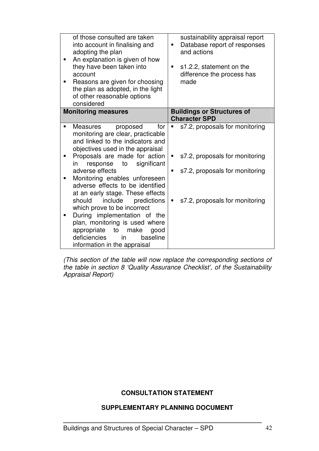| of those consulted are taken<br>into account in finalising and<br>adopting the plan<br>An explanation is given of how<br>they have been taken into<br>account<br>Reasons are given for choosing<br>the plan as adopted, in the light<br>of other reasonable options<br>considered                                                                                                                                                                                                                                                                                                     | sustainability appraisal report<br>Database report of responses<br>and actions<br>s1.2.2, statement on the<br>difference the process has<br>made         |
|---------------------------------------------------------------------------------------------------------------------------------------------------------------------------------------------------------------------------------------------------------------------------------------------------------------------------------------------------------------------------------------------------------------------------------------------------------------------------------------------------------------------------------------------------------------------------------------|----------------------------------------------------------------------------------------------------------------------------------------------------------|
| <b>Monitoring measures</b>                                                                                                                                                                                                                                                                                                                                                                                                                                                                                                                                                            | <b>Buildings or Structures of</b><br><b>Character SPD</b>                                                                                                |
| Measures<br>proposed<br>for<br>monitoring are clear, practicable<br>and linked to the indicators and<br>objectives used in the appraisal<br>Proposals are made for action<br>significant<br>to<br>response<br>in<br>adverse effects<br>Monitoring enables unforeseen<br>adverse effects to be identified<br>at an early stage. These effects<br>include predictions<br>should<br>which prove to be incorrect<br>During implementation of the<br>plan, monitoring is used where<br>to<br>make<br>appropriate<br>good<br>deficiencies<br>baseline<br>in<br>information in the appraisal | s7.2, proposals for monitoring<br>п<br>s7.2, proposals for monitoring<br>٠<br>s7.2, proposals for monitoring<br>п<br>s7.2, proposals for monitoring<br>п |

(This section of the table will now replace the corresponding sections of the table in section 8 'Quality Assurance Checklist', of the Sustainability Appraisal Report)

#### **CONSULTATION STATEMENT**

#### **SUPPLEMENTARY PLANNING DOCUMENT**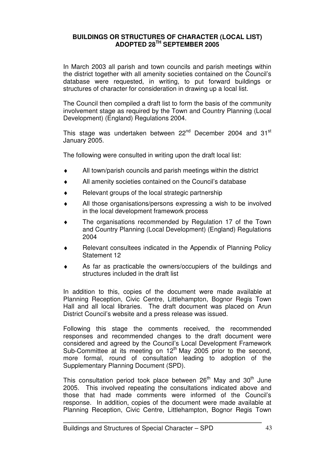#### **BUILDINGS OR STRUCTURES OF CHARACTER (LOCAL LIST) ADOPTED 28TH SEPTEMBER 2005**

In March 2003 all parish and town councils and parish meetings within the district together with all amenity societies contained on the Council's database were requested, in writing, to put forward buildings or structures of character for consideration in drawing up a local list.

The Council then compiled a draft list to form the basis of the community involvement stage as required by the Town and Country Planning (Local Development) (England) Regulations 2004.

This stage was undertaken between 22<sup>nd</sup> December 2004 and 31<sup>st</sup> January 2005.

The following were consulted in writing upon the draft local list:

- ♦ All town/parish councils and parish meetings within the district
- All amenity societies contained on the Council's database
- $\bullet$  Relevant groups of the local strategic partnership
- ♦ All those organisations/persons expressing a wish to be involved in the local development framework process
- The organisations recommended by Regulation 17 of the Town and Country Planning (Local Development) (England) Regulations 2004
- Relevant consultees indicated in the Appendix of Planning Policy Statement 12
- As far as practicable the owners/occupiers of the buildings and structures included in the draft list

In addition to this, copies of the document were made available at Planning Reception, Civic Centre, Littlehampton, Bognor Regis Town Hall and all local libraries. The draft document was placed on Arun District Council's website and a press release was issued.

Following this stage the comments received, the recommended responses and recommended changes to the draft document were considered and agreed by the Council's Local Development Framework Sub-Committee at its meeting on  $12<sup>th</sup>$  May 2005 prior to the second, more formal, round of consultation leading to adoption of the Supplementary Planning Document (SPD).

This consultation period took place between  $26<sup>th</sup>$  May and  $30<sup>th</sup>$  June 2005. This involved repeating the consultations indicated above and those that had made comments were informed of the Council's response. In addition, copies of the document were made available at Planning Reception, Civic Centre, Littlehampton, Bognor Regis Town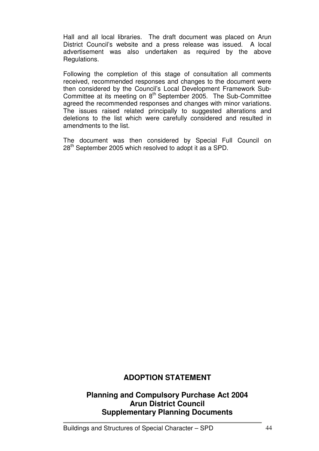Hall and all local libraries. The draft document was placed on Arun District Council's website and a press release was issued. A local advertisement was also undertaken as required by the above Regulations.

Following the completion of this stage of consultation all comments received, recommended responses and changes to the document were then considered by the Council's Local Development Framework Sub-Committee at its meeting on 8<sup>th</sup> September 2005. The Sub-Committee agreed the recommended responses and changes with minor variations. The issues raised related principally to suggested alterations and deletions to the list which were carefully considered and resulted in amendments to the list.

The document was then considered by Special Full Council on 28<sup>th</sup> September 2005 which resolved to adopt it as a SPD.

## **ADOPTION STATEMENT**

### **Planning and Compulsory Purchase Act 2004 Arun District Council Supplementary Planning Documents**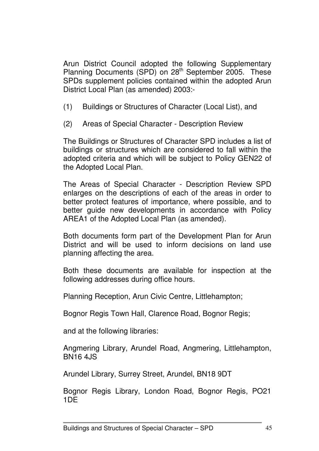Arun District Council adopted the following Supplementary Planning Documents (SPD) on 28<sup>th</sup> September 2005. These SPDs supplement policies contained within the adopted Arun District Local Plan (as amended) 2003:-

- (1) Buildings or Structures of Character (Local List), and
- (2) Areas of Special Character Description Review

The Buildings or Structures of Character SPD includes a list of buildings or structures which are considered to fall within the adopted criteria and which will be subject to Policy GEN22 of the Adopted Local Plan.

The Areas of Special Character - Description Review SPD enlarges on the descriptions of each of the areas in order to better protect features of importance, where possible, and to better guide new developments in accordance with Policy AREA1 of the Adopted Local Plan (as amended).

Both documents form part of the Development Plan for Arun District and will be used to inform decisions on land use planning affecting the area.

Both these documents are available for inspection at the following addresses during office hours.

Planning Reception, Arun Civic Centre, Littlehampton;

Bognor Regis Town Hall, Clarence Road, Bognor Regis;

and at the following libraries:

Angmering Library, Arundel Road, Angmering, Littlehampton, BN16 4JS

Arundel Library, Surrey Street, Arundel, BN18 9DT

Bognor Regis Library, London Road, Bognor Regis, PO21 1DE